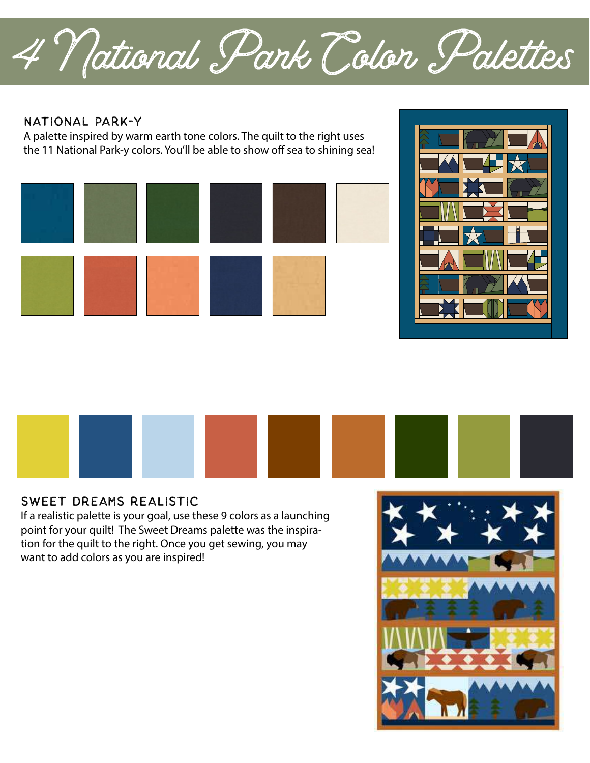4 National Park Color Palettes

#### National Park-y

A palette inspired by warm earth tone colors. The quilt to the right uses the 11 National Park-y colors. You'll be able to show off sea to shining sea!







#### Sweet dreams realistic

If a realistic palette is your goal, use these 9 colors as a launching point for your quilt! The Sweet Dreams palette was the inspiration for the quilt to the right. Once you get sewing, you may want to add colors as you are inspired!

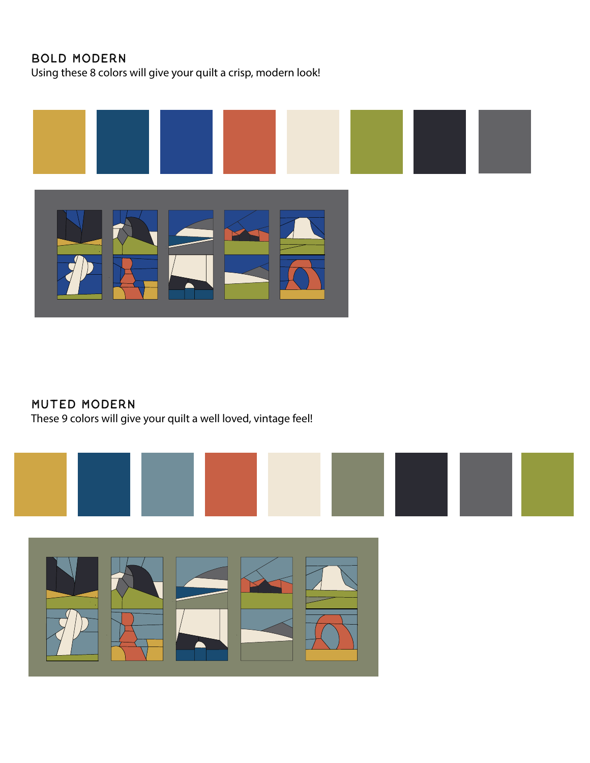# Bold Modern

Using these 8 colors will give your quilt a crisp, modern look!



## Muted Modern

These 9 colors will give your quilt a well loved, vintage feel!